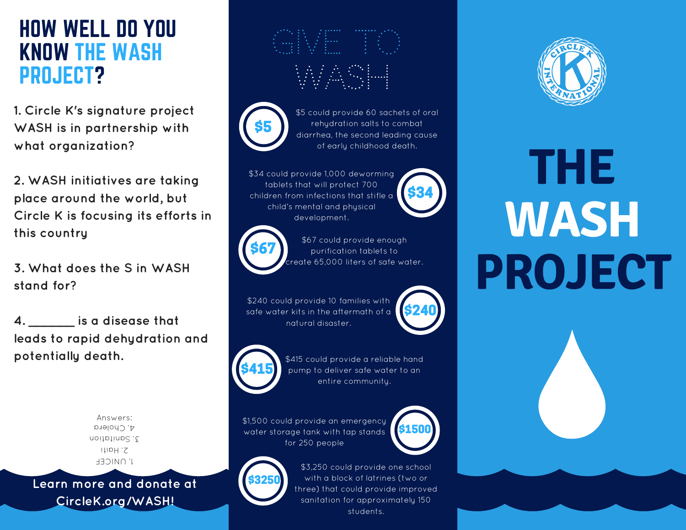#### HOW WELL DO YOU KNOW THE WASH PROJECT?

**1. Circle K's signature project WASH is in partnership with what organization?**

**2. WASH initiatives are taking place around the world, but Circle K is focusing its efforts in this country**

**3. What does the S in WASH stand for?**

**4. \_\_\_\_\_\_ is a disease that leads to rapid dehydration and potentially death.**

> Answers: **J' NNICEL** itioH. 2 noitptinp2.2 d. Cholera

\$3250 **Learn more and donate at CircleK.org/WASH!**

# WASH



\$5 could provide 60 sachets of oral rehydration salts to combat diarrhea, the second leading cause of early childhood death.

\$34 could provide 1,000 deworming tablets that will protect 700 children from infections that stifle a child's mental and physical development.





\$67 could provide enough purification tablets to reate 65,000 liters of safe water.

\$240 could provide 10 families with safe water kits in the aftermath of a natural disaster.



\$415 could provide a reliable hand pump to deliver safe water to an entire community.

\$1,500 could provide an emergency water storage tank with tap stands for 250 people



\$240





## **THE WASH PROJECT**